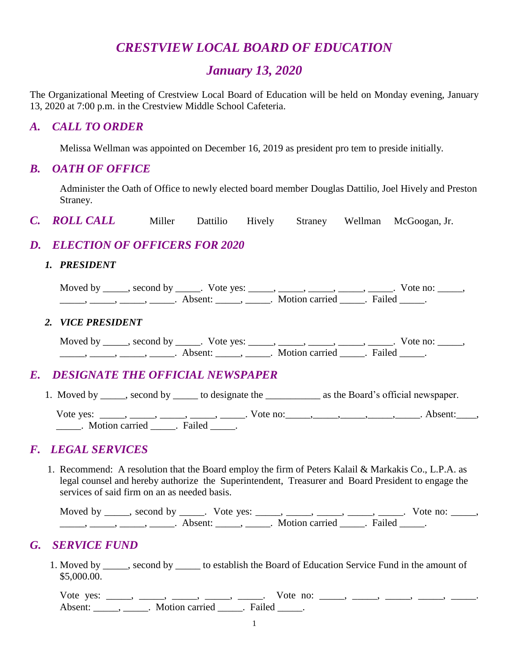# *CRESTVIEW LOCAL BOARD OF EDUCATION*

# *January 13, 2020*

The Organizational Meeting of Crestview Local Board of Education will be held on Monday evening, January 13, 2020 at 7:00 p.m. in the Crestview Middle School Cafeteria.

## *A. CALL TO ORDER*

Melissa Wellman was appointed on December 16, 2019 as president pro tem to preside initially.

### *B. OATH OF OFFICE*

Administer the Oath of Office to newly elected board member Douglas Dattilio, Joel Hively and Preston Straney.

*C. ROLL CALL* Miller Dattilio Hively Straney Wellman McGoogan, Jr.

# *D. ELECTION OF OFFICERS FOR 2020*

#### *1. PRESIDENT*

Moved by \_\_\_\_\_, second by \_\_\_\_\_. Vote yes: \_\_\_\_\_, \_\_\_\_\_, \_\_\_\_\_, \_\_\_\_\_, \_\_\_\_\_. Vote no: \_\_\_\_\_,  $\frac{1}{\sqrt{2\pi}}$ ,  $\frac{1}{\sqrt{2\pi}}$ ,  $\frac{1}{\sqrt{2\pi}}$ ,  $\frac{1}{\sqrt{2\pi}}$ ,  $\frac{1}{\sqrt{2\pi}}$ ,  $\frac{1}{\sqrt{2\pi}}$ ,  $\frac{1}{\sqrt{2\pi}}$ ,  $\frac{1}{\sqrt{2\pi}}$ ,  $\frac{1}{\sqrt{2\pi}}$ ,  $\frac{1}{\sqrt{2\pi}}$ ,  $\frac{1}{\sqrt{2\pi}}$ ,  $\frac{1}{\sqrt{2\pi}}$ ,  $\frac{1}{\sqrt{2\pi}}$ ,  $\frac{1}{\sqrt{2\pi}}$ 

#### *2. VICE PRESIDENT*

Moved by \_\_\_\_\_, second by \_\_\_\_\_. Vote yes: \_\_\_\_\_, \_\_\_\_\_, \_\_\_\_\_, \_\_\_\_\_, \_\_\_\_\_. Vote no: \_\_\_\_\_, \_\_\_\_\_, \_\_\_\_\_, \_\_\_\_\_, \_\_\_\_\_. Absent: \_\_\_\_\_, \_\_\_\_\_. Motion carried \_\_\_\_\_. Failed \_\_\_\_\_.

#### *E. DESIGNATE THE OFFICIAL NEWSPAPER*

1. Moved by \_\_\_\_\_, second by \_\_\_\_\_ to designate the \_\_\_\_\_\_\_\_\_\_\_\_ as the Board's official newspaper.

Vote yes: \_\_\_\_\_, \_\_\_\_\_, \_\_\_\_\_, \_\_\_\_\_, Vote no: \_\_\_\_, \_\_\_\_\_, \_\_\_\_\_, \_\_\_\_\_, Absent: \_\_\_\_, \_\_\_\_\_. Motion carried \_\_\_\_\_. Failed \_\_\_\_\_.

#### *F. LEGAL SERVICES*

 1. Recommend: A resolution that the Board employ the firm of Peters Kalail & Markakis Co., L.P.A. as legal counsel and hereby authorize the Superintendent, Treasurer and Board President to engage the services of said firm on an as needed basis.

| Moved by second by | Vote yes: |                         | Vote no: |  |
|--------------------|-----------|-------------------------|----------|--|
|                    | ∆ heent∙  | Motion carried . Failed |          |  |

# *G. SERVICE FUND*

 1. Moved by \_\_\_\_\_, second by \_\_\_\_\_ to establish the Board of Education Service Fund in the amount of \$5,000.00.

Vote yes: \_\_\_\_, \_\_\_, \_\_\_, \_\_\_, \_\_\_, Vote no: \_\_\_, \_\_\_, \_\_\_, \_\_\_, \_\_\_, \_\_\_\_, \_\_\_\_\_ Absent: \_\_\_\_\_\_, \_\_\_\_\_\_. Motion carried \_\_\_\_\_\_. Failed \_\_\_\_\_.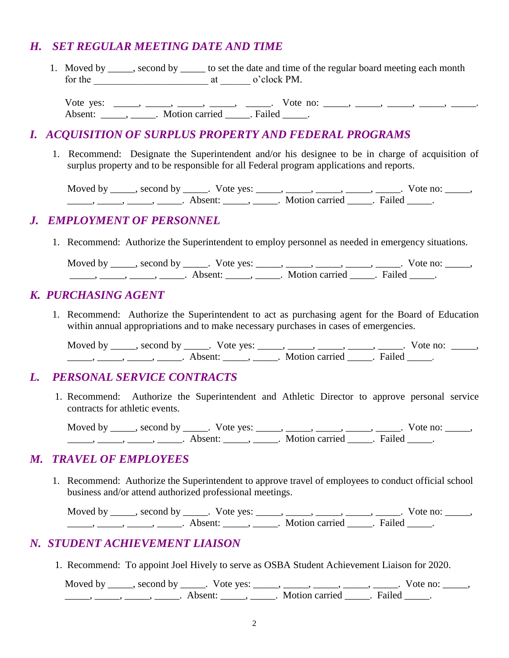# *H. SET REGULAR MEETING DATE AND TIME*

1. Moved by \_\_\_\_\_, second by \_\_\_\_\_ to set the date and time of the regular board meeting each month for the \_\_\_\_\_\_\_\_\_\_\_\_\_\_\_\_\_\_\_\_\_\_\_ at \_\_\_\_\_\_ o'clock PM.

Vote yes: \_\_\_\_, \_\_\_\_, \_\_\_, \_\_\_, \_\_\_, Vote no: \_\_\_\_, \_\_\_, \_\_\_, \_\_\_, \_\_\_, \_\_\_\_, \_\_\_\_\_ Absent: \_\_\_\_\_\_, \_\_\_\_\_\_. Motion carried \_\_\_\_\_\_. Failed \_\_\_\_\_.

# *I. ACQUISITION OF SURPLUS PROPERTY AND FEDERAL PROGRAMS*

1. Recommend: Designate the Superintendent and/or his designee to be in charge of acquisition of surplus property and to be responsible for all Federal program applications and reports.

Moved by \_\_\_\_\_, second by \_\_\_\_\_. Vote yes: \_\_\_\_\_, \_\_\_\_\_, \_\_\_\_\_, \_\_\_\_\_, \_\_\_\_\_. Vote no: \_\_\_\_\_, \_\_\_\_\_, \_\_\_\_\_, \_\_\_\_\_, \_\_\_\_\_. Absent: \_\_\_\_\_, \_\_\_\_\_. Motion carried \_\_\_\_\_. Failed \_\_\_\_\_.

# *J. EMPLOYMENT OF PERSONNEL*

1. Recommend: Authorize the Superintendent to employ personnel as needed in emergency situations.

Moved by \_\_\_\_\_, second by \_\_\_\_\_. Vote yes: \_\_\_\_\_, \_\_\_\_\_, \_\_\_\_\_, \_\_\_\_\_, \_\_\_\_\_. Vote no: \_\_\_\_\_, \_\_\_\_\_\_, \_\_\_\_\_, \_\_\_\_\_\_, Absent: \_\_\_\_\_, \_\_\_\_\_. Motion carried \_\_\_\_\_. Failed \_\_\_\_\_.

# *K. PURCHASING AGENT*

1. Recommend: Authorize the Superintendent to act as purchasing agent for the Board of Education within annual appropriations and to make necessary purchases in cases of emergencies.

Moved by \_\_\_\_\_, second by \_\_\_\_\_. Vote yes: \_\_\_\_\_, \_\_\_\_\_, \_\_\_\_\_, \_\_\_\_\_, \_\_\_\_\_. Vote no: \_\_\_\_\_, \_\_\_\_\_, \_\_\_\_\_, \_\_\_\_\_, \_\_\_\_\_. Absent: \_\_\_\_\_, \_\_\_\_\_. Motion carried \_\_\_\_\_. Failed \_\_\_\_\_.

# *L. PERSONAL SERVICE CONTRACTS*

1. Recommend: Authorize the Superintendent and Athletic Director to approve personal service contracts for athletic events.

Moved by \_\_\_\_\_, second by \_\_\_\_\_. Vote yes: \_\_\_\_\_, \_\_\_\_\_, \_\_\_\_\_, \_\_\_\_\_, \_\_\_\_\_. Vote no: \_\_\_\_\_, \_\_\_\_\_\_, \_\_\_\_\_\_, \_\_\_\_\_\_\_, Absent: \_\_\_\_\_\_, \_\_\_\_\_\_. Motion carried \_\_\_\_\_. Failed \_\_\_\_\_.

#### *M. TRAVEL OF EMPLOYEES*

 1. Recommend: Authorize the Superintendent to approve travel of employees to conduct official school business and/or attend authorized professional meetings.

Moved by \_\_\_\_\_, second by \_\_\_\_\_. Vote yes: \_\_\_\_\_, \_\_\_\_\_, \_\_\_\_\_, \_\_\_\_\_, \_\_\_\_\_. Vote no: \_\_\_\_\_, \_\_\_\_\_\_, \_\_\_\_\_, \_\_\_\_\_, \_\_\_\_\_\_. Absent: \_\_\_\_\_\_, \_\_\_\_\_\_. Motion carried \_\_\_\_\_\_. Failed \_\_\_\_\_.

# *N. STUDENT ACHIEVEMENT LIAISON*

1. Recommend: To appoint Joel Hively to serve as OSBA Student Achievement Liaison for 2020.

Moved by \_\_\_\_\_, second by \_\_\_\_\_. Vote yes: \_\_\_\_\_, \_\_\_\_\_, \_\_\_\_\_, \_\_\_\_\_, \_\_\_\_\_. Vote no: \_\_\_\_\_, \_\_\_\_\_\_, \_\_\_\_\_, \_\_\_\_\_\_, Absent: \_\_\_\_\_, \_\_\_\_\_. Motion carried \_\_\_\_\_. Failed \_\_\_\_\_.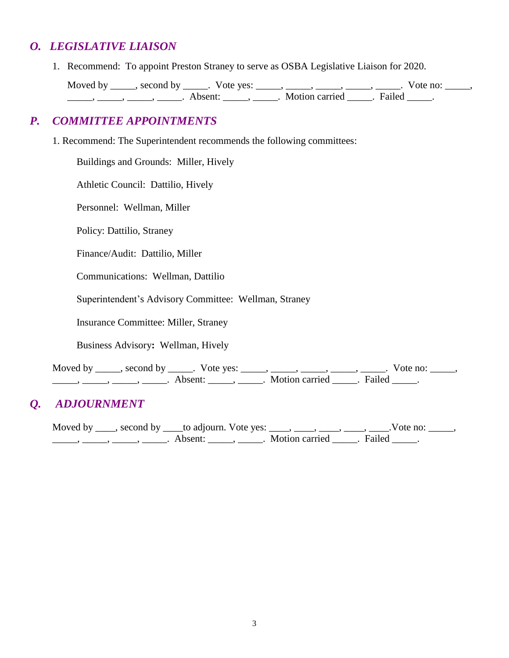# *O. LEGISLATIVE LIAISON*

1. Recommend: To appoint Preston Straney to serve as OSBA Legislative Liaison for 2020.

Moved by \_\_\_\_\_, second by \_\_\_\_\_. Vote yes: \_\_\_\_\_, \_\_\_\_\_, \_\_\_\_\_, \_\_\_\_\_, \_\_\_\_\_. Vote no: \_\_\_\_\_, ——, ———, ———, Absent: \_\_\_\_\_, \_\_\_\_\_. Motion carried \_\_\_\_\_. Failed \_\_\_\_.

# *P. COMMITTEE APPOINTMENTS*

1. Recommend: The Superintendent recommends the following committees:

Buildings and Grounds: Miller, Hively

Athletic Council: Dattilio, Hively

Personnel: Wellman, Miller

Policy: Dattilio, Straney

Finance/Audit: Dattilio, Miller

Communications: Wellman, Dattilio

Superintendent's Advisory Committee: Wellman, Straney

Insurance Committee: Miller, Straney

Business Advisory**:** Wellman, Hively

Moved by \_\_\_\_\_, second by \_\_\_\_\_. Vote yes: \_\_\_\_\_, \_\_\_\_\_, \_\_\_\_\_, \_\_\_\_\_, \_\_\_\_\_. Vote no: \_\_\_\_\_, \_\_\_\_\_, \_\_\_\_\_, \_\_\_\_\_, \_\_\_\_\_. Absent: \_\_\_\_\_, \_\_\_\_\_. Motion carried \_\_\_\_\_. Failed \_\_\_\_\_.

# *Q. ADJOURNMENT*

Moved by \_\_\_\_, second by \_\_\_\_to adjourn. Vote yes: \_\_\_\_, \_\_\_\_, \_\_\_\_, \_\_\_\_, \_\_\_\_.Vote no: \_\_\_\_\_, \_\_\_\_\_, \_\_\_\_\_, \_\_\_\_\_, \_\_\_\_\_. Absent: \_\_\_\_\_, \_\_\_\_\_. Motion carried \_\_\_\_\_. Failed \_\_\_\_\_.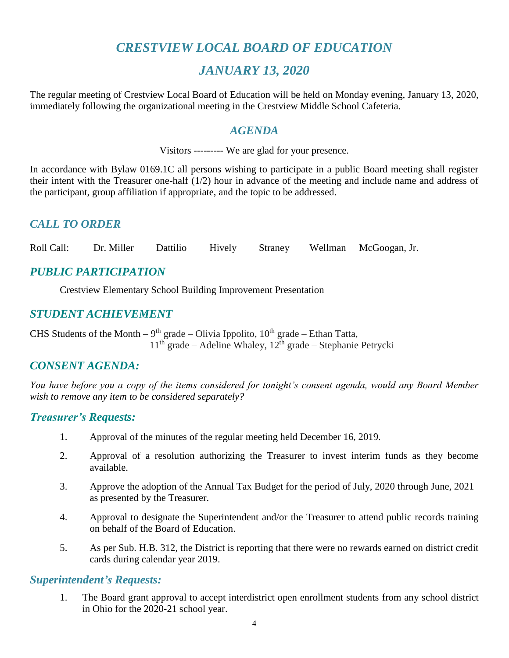# *CRESTVIEW LOCAL BOARD OF EDUCATION*

# *JANUARY 13, 2020*

The regular meeting of Crestview Local Board of Education will be held on Monday evening, January 13, 2020, immediately following the organizational meeting in the Crestview Middle School Cafeteria.

#### *AGENDA*

Visitors --------- We are glad for your presence.

In accordance with Bylaw 0169.1C all persons wishing to participate in a public Board meeting shall register their intent with the Treasurer one-half (1/2) hour in advance of the meeting and include name and address of the participant, group affiliation if appropriate, and the topic to be addressed.

# *CALL TO ORDER*

Roll Call: Dr. Miller Dattilio Hively Straney Wellman McGoogan, Jr.

# *PUBLIC PARTICIPATION*

Crestview Elementary School Building Improvement Presentation

# *STUDENT ACHIEVEMENT*

CHS Students of the Month – 9<sup>th</sup> grade – Olivia Ippolito,  $10^{th}$  grade – Ethan Tatta,  $11<sup>th</sup>$  grade – Adeline Whaley,  $12<sup>th</sup>$  grade – Stephanie Petrycki

#### *CONSENT AGENDA:*

*You have before you a copy of the items considered for tonight's consent agenda, would any Board Member wish to remove any item to be considered separately?*

#### *Treasurer's Requests:*

- 1. Approval of the minutes of the regular meeting held December 16, 2019.
- 2. Approval of a resolution authorizing the Treasurer to invest interim funds as they become available.
- 3. Approve the adoption of the Annual Tax Budget for the period of July, 2020 through June, 2021 as presented by the Treasurer.
- 4. Approval to designate the Superintendent and/or the Treasurer to attend public records training on behalf of the Board of Education.
- 5. As per Sub. H.B. 312, the District is reporting that there were no rewards earned on district credit cards during calendar year 2019.

#### *Superintendent's Requests:*

1. The Board grant approval to accept interdistrict open enrollment students from any school district in Ohio for the 2020-21 school year.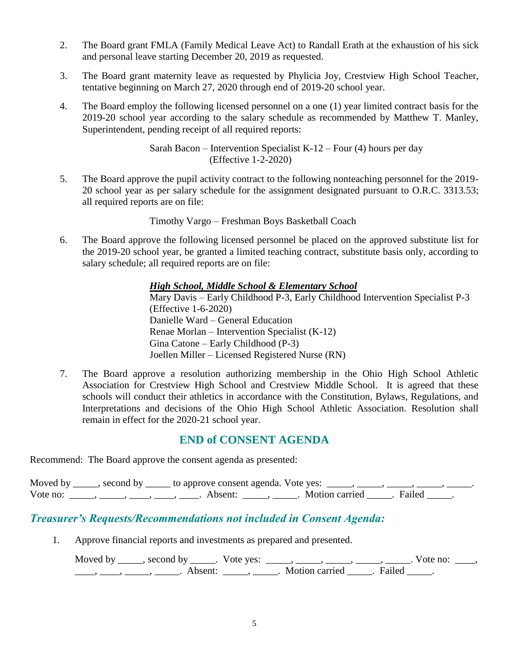- 2. The Board grant FMLA (Family Medical Leave Act) to Randall Erath at the exhaustion of his sick and personal leave starting December 20, 2019 as requested.
- 3. The Board grant maternity leave as requested by Phylicia Joy, Crestview High School Teacher, tentative beginning on March 27, 2020 through end of 2019-20 school year.
- 4. The Board employ the following licensed personnel on a one (1) year limited contract basis for the 2019-20 school year according to the salary schedule as recommended by Matthew T. Manley, Superintendent, pending receipt of all required reports:

Sarah Bacon – Intervention Specialist K-12 – Four  $(4)$  hours per day (Effective 1-2-2020)

5. The Board approve the pupil activity contract to the following nonteaching personnel for the 2019- 20 school year as per salary schedule for the assignment designated pursuant to O.R.C. 3313.53; all required reports are on file:

Timothy Vargo – Freshman Boys Basketball Coach

6. The Board approve the following licensed personnel be placed on the approved substitute list for the 2019-20 school year, be granted a limited teaching contract, substitute basis only, according to salary schedule; all required reports are on file:

#### *High School, Middle School & Elementary School*

Mary Davis – Early Childhood P-3, Early Childhood Intervention Specialist P-3 (Effective 1-6-2020) Danielle Ward – General Education Renae Morlan – Intervention Specialist (K-12) Gina Catone – Early Childhood (P-3) Joellen Miller – Licensed Registered Nurse (RN)

7. The Board approve a resolution authorizing membership in the Ohio High School Athletic Association for Crestview High School and Crestview Middle School. It is agreed that these schools will conduct their athletics in accordance with the Constitution, Bylaws, Regulations, and Interpretations and decisions of the Ohio High School Athletic Association. Resolution shall remain in effect for the 2020-21 school year.

#### **END of CONSENT AGENDA**

Recommend: The Board approve the consent agenda as presented:

| Moved by | , second by | V _______ to approve consent agenda. Vote yes: |                |          |  |
|----------|-------------|------------------------------------------------|----------------|----------|--|
| Vote no: |             | Absent:                                        | Motion carried | . Failed |  |

# *Treasurer's Requests/Recommendations not included in Consent Agenda:*

1. Approve financial reports and investments as prepared and presented.

Moved by \_\_\_\_\_, second by \_\_\_\_\_. Vote yes:  $\_\_\_\_\_\_\_\_\_\_\_\_\_\_\_$  \_\_\_\_\_, \_\_\_\_\_, \_\_\_\_\_. Vote no:  $\_\_\_\_\_\$ \_\_\_\_\_, \_\_\_\_\_\_, \_\_\_\_\_\_\_. Absent: \_\_\_\_\_\_, \_\_\_\_\_\_. Motion carried \_\_\_\_\_\_. Failed \_\_\_\_\_.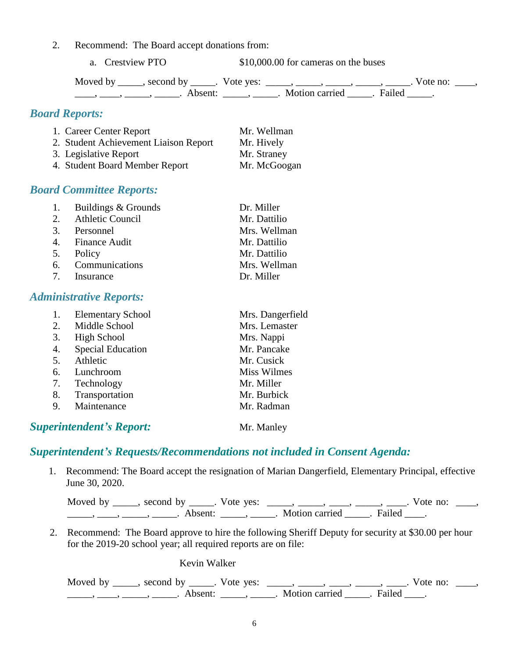2. Recommend: The Board accept donations from:

a. Crestview PTO  $$10,000.00$  for cameras on the buses

| Moved by | second by | Vote yes: |                       |        | Vote no: |  |
|----------|-----------|-----------|-----------------------|--------|----------|--|
|          | Absent:   |           | <b>Motion carried</b> | Failed |          |  |

# *Board Reports:*

| 1. Career Center Report               | Mr. Wellman  |
|---------------------------------------|--------------|
| 2. Student Achievement Liaison Report | Mr. Hively   |
| 3. Legislative Report                 | Mr. Straney  |
| 4. Student Board Member Report        | Mr. McGoogan |

#### *Board Committee Reports:*

| 1. Buildings & Grounds | Dr. Miller   |
|------------------------|--------------|
| 2. Athletic Council    | Mr. Dattilio |
| 3. Personnel           | Mrs. Wellman |
| 4. Finance Audit       | Mr. Dattilio |
| 5. Policy              | Mr. Dattilio |
| 6. Communications      | Mrs. Wellman |
| 7. Insurance           | Dr. Miller   |

#### *Administrative Reports:*

|    | <b>Elementary School</b>        | Mrs. Dangerfield |
|----|---------------------------------|------------------|
| 2. | Middle School                   | Mrs. Lemaster    |
| 3. | High School                     | Mrs. Nappi       |
| 4. | <b>Special Education</b>        | Mr. Pancake      |
| 5. | Athletic                        | Mr. Cusick       |
| 6. | Lunchroom                       | Miss Wilmes      |
| 7. | Technology                      | Mr. Miller       |
| 8. | Transportation                  | Mr. Burbick      |
| 9. | Maintenance                     | Mr. Radman       |
|    | <b>Superintendent's Report:</b> | Mr. Manley       |

*Superintendent's Requests/Recommendations not included in Consent Agenda:*

1. Recommend: The Board accept the resignation of Marian Dangerfield, Elementary Principal, effective June 30, 2020.

| Moved by | second by           | Vote yes: |                |        | Vote no: |  |
|----------|---------------------|-----------|----------------|--------|----------|--|
|          | Absent <sup>.</sup> |           | Motion carried | Failed |          |  |

 2. Recommend: The Board approve to hire the following Sheriff Deputy for security at \$30.00 per hour for the 2019-20 school year; all required reports are on file:

Kevin Walker

Moved by \_\_\_\_, second by \_\_\_\_\_. Vote yes: \_\_\_\_\_, \_\_\_\_\_, \_\_\_\_, \_\_\_\_, \_\_\_\_. Vote no: \_\_\_, \_\_\_\_\_\_, \_\_\_\_\_, \_\_\_\_\_\_\_. Absent: \_\_\_\_\_\_, \_\_\_\_\_\_. Motion carried \_\_\_\_\_. Failed \_\_\_\_.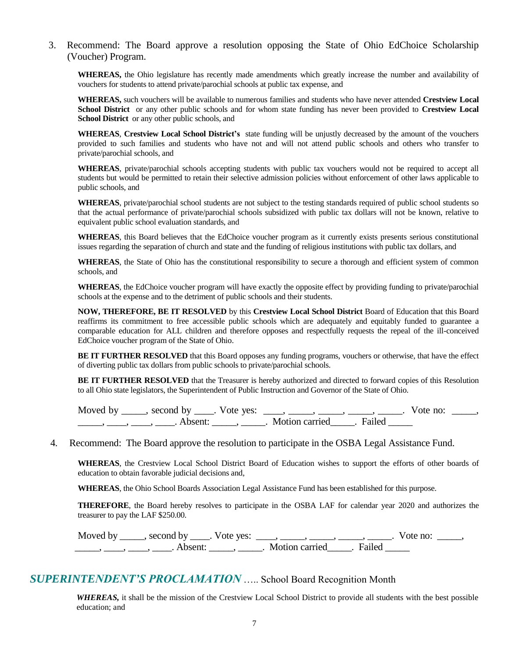#### 3. Recommend: The Board approve a resolution opposing the State of Ohio EdChoice Scholarship (Voucher) Program.

**WHEREAS,** the Ohio legislature has recently made amendments which greatly increase the number and availability of vouchers for students to attend private/parochial schools at public tax expense, and

**WHEREAS,** such vouchers will be available to numerous families and students who have never attended **Crestview Local School District** or any other public schools and for whom state funding has never been provided to **Crestview Local**  School District or any other public schools, and

**WHEREAS**, **Crestview Local School District's** state funding will be unjustly decreased by the amount of the vouchers provided to such families and students who have not and will not attend public schools and others who transfer to private/parochial schools, and

**WHEREAS**, private/parochial schools accepting students with public tax vouchers would not be required to accept all students but would be permitted to retain their selective admission policies without enforcement of other laws applicable to public schools, and

**WHEREAS**, private/parochial school students are not subject to the testing standards required of public school students so that the actual performance of private/parochial schools subsidized with public tax dollars will not be known, relative to equivalent public school evaluation standards, and

**WHEREAS**, this Board believes that the EdChoice voucher program as it currently exists presents serious constitutional issues regarding the separation of church and state and the funding of religious institutions with public tax dollars, and

**WHEREAS**, the State of Ohio has the constitutional responsibility to secure a thorough and efficient system of common schools, and

**WHEREAS**, the EdChoice voucher program will have exactly the opposite effect by providing funding to private/parochial schools at the expense and to the detriment of public schools and their students.

**NOW, THEREFORE, BE IT RESOLVED** by this **Crestview Local School District** Board of Education that this Board reaffirms its commitment to free accessible public schools which are adequately and equitably funded to guarantee a comparable education for ALL children and therefore opposes and respectfully requests the repeal of the ill-conceived EdChoice voucher program of the State of Ohio.

**BE IT FURTHER RESOLVED** that this Board opposes any funding programs, vouchers or otherwise, that have the effect of diverting public tax dollars from public schools to private/parochial schools.

**BE IT FURTHER RESOLVED** that the Treasurer is hereby authorized and directed to forward copies of this Resolution to all Ohio state legislators, the Superintendent of Public Instruction and Governor of the State of Ohio.

Moved by  $\_\_\_\_$ , second by  $\_\_\_\_$ . Vote yes:  $\_\_\_\_\_\_\_\_\_\_\_\_\_$ ,  $\_\_\_\_\_\_\_\_\_\_\_\_\_\_\_\_\_\_\_\_\_\_\_\_$ . Vote no:  $\_\_\_\_\_\_\$ \_\_\_\_\_\_, \_\_\_\_\_, \_\_\_\_\_\_. Absent: \_\_\_\_\_\_, \_\_\_\_\_\_. Motion carried \_\_\_\_\_. Failed \_\_\_\_\_

#### 4. Recommend: The Board approve the resolution to participate in the OSBA Legal Assistance Fund.

**WHEREAS**, the Crestview Local School District Board of Education wishes to support the efforts of other boards of education to obtain favorable judicial decisions and,

**WHEREAS**, the Ohio School Boards Association Legal Assistance Fund has been established for this purpose.

**THEREFORE**, the Board hereby resolves to participate in the OSBA LAF for calendar year 2020 and authorizes the treasurer to pay the LAF \$250.00.

Moved by \_\_\_\_\_, second by \_\_\_\_. Vote yes:  $\_\_\_\_\_\_\_\_\_\_\_\_$ .  $\_\_\_\_\_\_\_\_\_\_\_\_\_\_\_$ . Vote no:  $\_\_\_\_\_\_\_\_\_\_$ \_\_\_\_\_\_, \_\_\_\_\_, \_\_\_\_\_\_. Absent: \_\_\_\_\_\_, \_\_\_\_\_\_. Motion carried \_\_\_\_\_. Failed \_\_\_\_\_

# *SUPERINTENDENT'S PROCLAMATION* ….. School Board Recognition Month

*WHEREAS,* it shall be the mission of the Crestview Local School District to provide all students with the best possible education; and